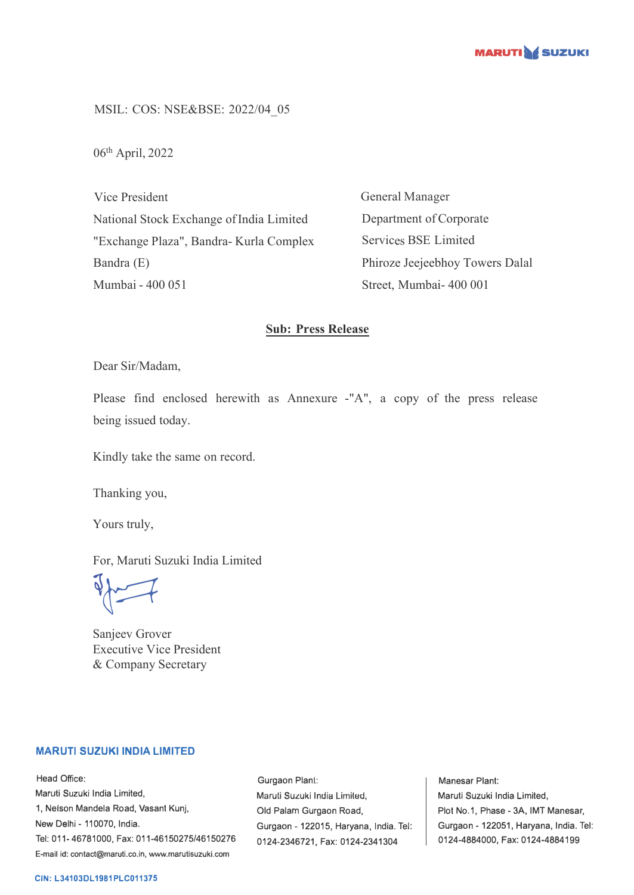

MSIL: COS: NSE&BSE: 2022/04\_05

06 th April, 2022

Vice President National Stock Exchange of India Limited "Exchange Plaza", Bandra- Kurla Complex Bandra (E) Mumbai - 400 051

General Manager Department of Corporate Services BSE Limited Phiroze Jeejeebhoy Towers Dalal Street, Mumbai- 400 001

## **Sub: Press Release**

Dear Sir/Madam,

Please find enclosed herewith as Annexure -"A", a copy of the press release being issued today.

Kindly take the same on record.

Thanking you,

Yours truly,

For, Maruti Suzuki India Limited

 $\sqrt{2}$ 

Sanjeev Grover Executive Vice President & Company Secretary

### **MARUTI SUZUKI INDIA LIMITED**

Head Office: Maruti Suzuki India Limited, 1, Nelson Mandela Road, Vasant Kunj, New Delhi - 110070, India. Tel: 011-46781000, Fax: 011-46150275/46150276 E-mail id: contact@maruti.co.in, www.marutisuzuki.com

Gurgaon Plant: Maruli Suzuki India Lirniled, Old Palam Gurgaon Road, Gurgaon - 122015, Haryana, India. Tel: 0124-2346721, Fax: 0124-2341304

Manesar Plant: Maruti Suzuki India Limited, Plot No.1, Phase - 3A, IMT Manesar, Gurgaon - 122051, Haryana, India. Tel: 0124-4884000, Fax: 0124-4884199

#### **CIN: L34103DL1981PLC011375**